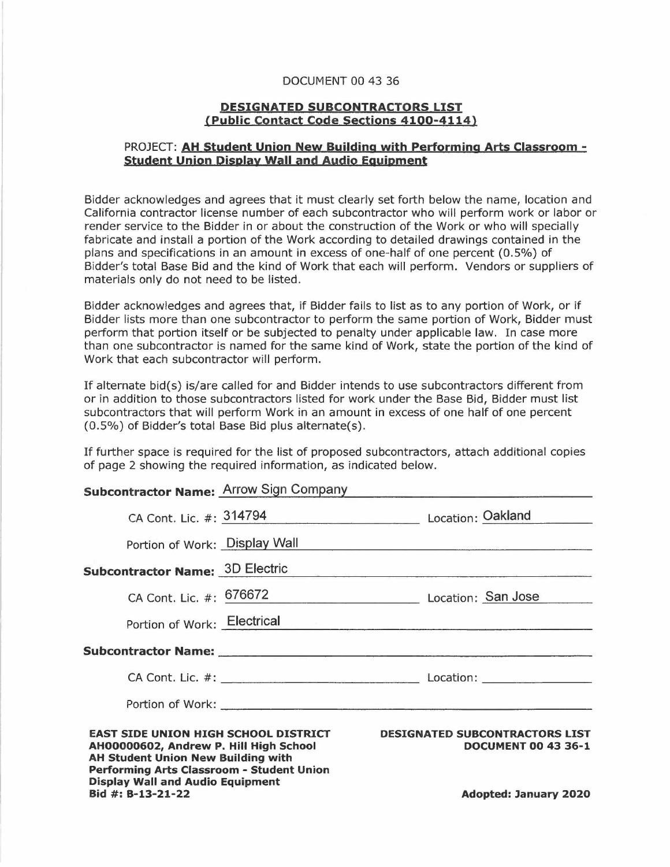## DOCUMENT 00 43 36

## **DESIGNATED SUBCONTRACTORS LIST {Public Contact Code sections 4100-4114)**

## PROJECT: **AH Student Union New Building with Performing Arts Classroom student union Display Wall and Audio Equipment**

Bidder acknowledges and agrees that it must clearly set forth below the name, location and California contractor license number of each subcontractor who will perform work or labor or render service to the Bidder in or about the construction of the Work or who will specially fabricate and install a portion of the Work according to detailed drawings contained in the plans and specifications in an amount in excess of one-half of one percent (0.5%) of Bidder's total Base Bid and the kind of Work that each will perform. Vendors or suppliers of materials only do not need to be listed.

Bidder acknowledges and agrees that, if Bidder fails to list as to any portion of Work, or if Bidder lists more than one subcontractor to perform the same portion of Work, Bidder must perform that portion itself or be subjected to penalty under applicable law. In case more than one subcontractor is named for the same kind of Work, state the portion of the kind of Work that each subcontractor will perform.

If alternate bid(s) is/are called for and Bidder intends to use subcontractors different from or in addition to those subcontractors listed for work under the Base Bid, Bidder must list subcontractors that will perform Work in an amount in excess of one half of one percent (0.5%) of Bidder's total Base Bid plus alternate(s).

If further space is required for the list of proposed subcontractors, attach additional copies of page 2 showing the required information, as indicated below.

## **Subcontractor Name: Arrow Sign Company.**

| Performing Arts Classroom - Student Union<br><b>Display Wall and Audio Equipment</b><br>Bid $\#$ : B-13-21-22                      |                                                   | <b>Adopted: January 2020</b>                                                                    |
|------------------------------------------------------------------------------------------------------------------------------------|---------------------------------------------------|-------------------------------------------------------------------------------------------------|
| <b>EAST SIDE UNION HIGH SCHOOL DISTRICT</b><br>AH00000602, Andrew P. Hill High School<br><b>AH Student Union New Building with</b> |                                                   | <b>DESIGNATED SUBCONTRACTORS LIST</b><br><b>DOCUMENT 00 43 36-1</b>                             |
|                                                                                                                                    |                                                   |                                                                                                 |
|                                                                                                                                    |                                                   |                                                                                                 |
|                                                                                                                                    |                                                   |                                                                                                 |
|                                                                                                                                    |                                                   | Portion of Work: Electrical                                                                     |
|                                                                                                                                    |                                                   | CA Cont. Lic. #: 676672 Location: San Jose                                                      |
| <b>Subcontractor Name: 3D Electric</b>                                                                                             |                                                   | <u> 1989 - John Harrison, Amerikaansk politiker (d. 1989)</u>                                   |
| Portion of Work: Display Wall                                                                                                      |                                                   | the contract of the contract of the contract of the contract of the contract of the contract of |
|                                                                                                                                    |                                                   | CA Cont. Lic. #: 314794 Location: Oakland                                                       |
|                                                                                                                                    | <b>SUBCONG QUIDITION</b> THE STATE STOP STOP STOP |                                                                                                 |